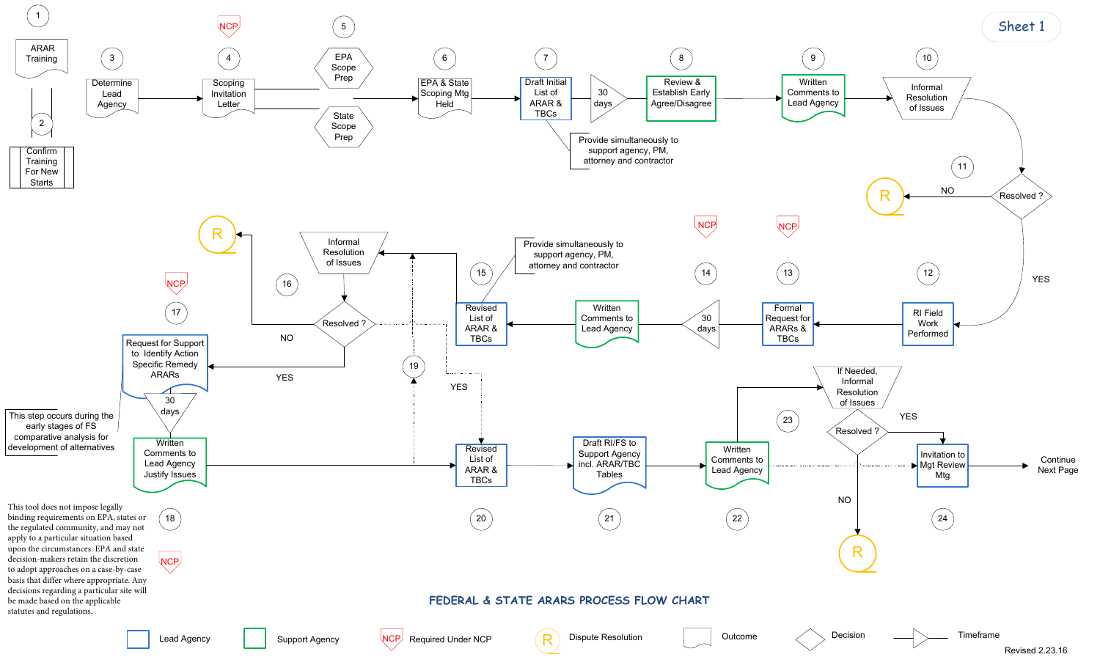